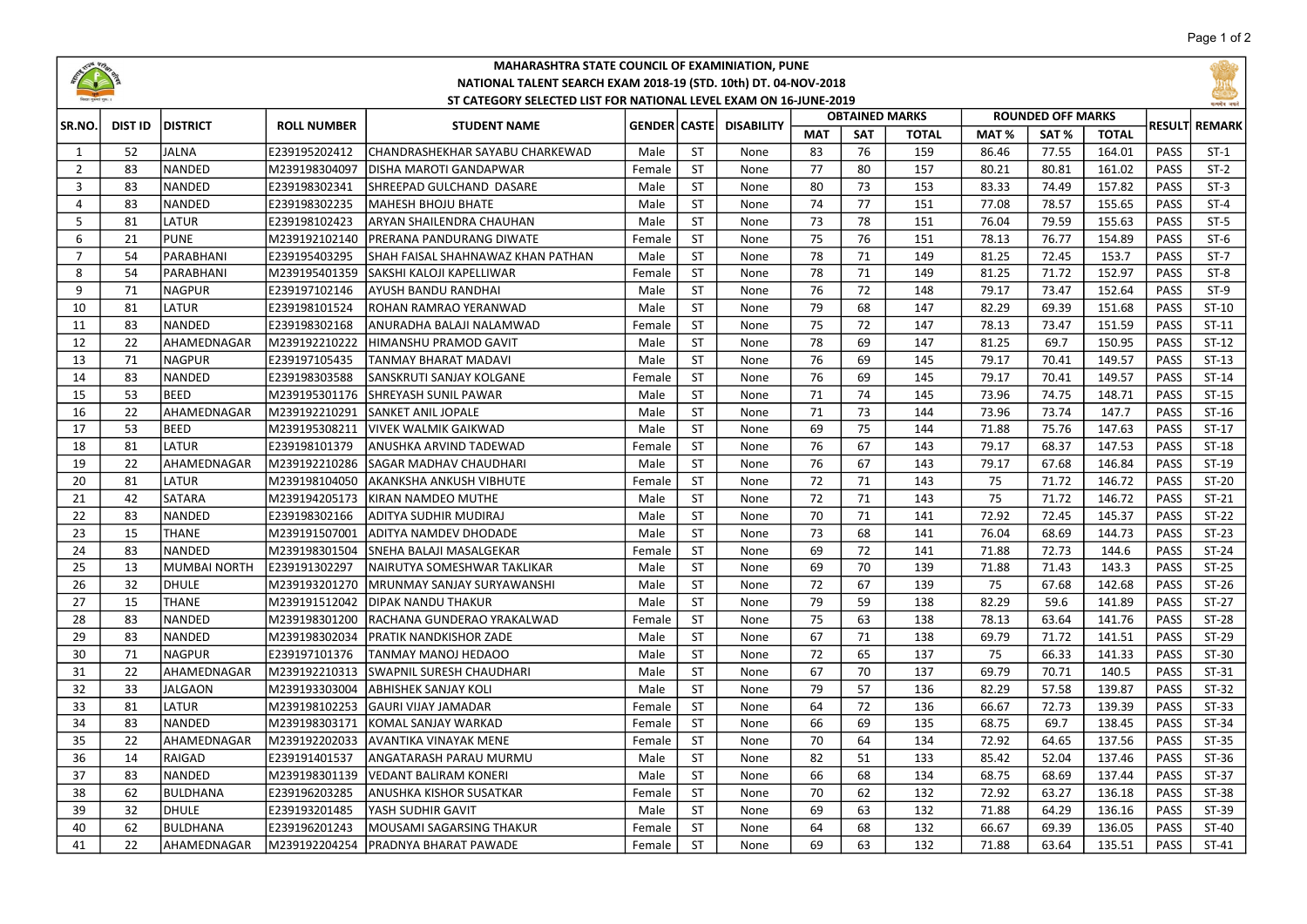

## MAHARASHTRA STATE COUNCIL OF EXAMINIATION, PUNE NATIONAL TALENT SEARCH EXAM 2018-19 (STD. 10th) DT. 04-NOV-2018 ST CATEGORY SELECTED LIST FOR NATIONAL LEVEL EXAM ON 16-JUNE-2019

|                |                |                                  |                                     | ST CATEGORY SELECTED LIST FOR NATIONAL LEVEL EXAM ON 16-JUNE-2019 |                       |                           |                           | <b>OBTAINED MARKS</b> |            |              |                                                      |       |              | सननेर बचरे  |                |
|----------------|----------------|----------------------------------|-------------------------------------|-------------------------------------------------------------------|-----------------------|---------------------------|---------------------------|-----------------------|------------|--------------|------------------------------------------------------|-------|--------------|-------------|----------------|
| SR.NO.<br>1    | <b>DIST ID</b> | <b>IDISTRICT</b><br><b>JALNA</b> | <b>ROLL NUMBER</b><br>E239195202412 | <b>STUDENT NAME</b><br>CHANDRASHEKHAR SAYABU CHARKEWAD            | <b>GENDER</b><br>Male | <b>CASTE</b><br><b>ST</b> | <b>DISABILITY</b><br>None |                       | <b>SAT</b> | <b>TOTAL</b> | <b>ROUNDED OFF MARKS</b><br>MAT <sub>%</sub><br>SAT% |       | <b>TOTAL</b> |             | RESULTI REMARK |
|                | 52             |                                  |                                     |                                                                   |                       |                           |                           | <b>MAT</b><br>83      | 76         | 159          | 86.46                                                | 77.55 | 164.01       | PASS        | $ST-1$         |
| $\overline{2}$ | 83             | <b>NANDED</b>                    | M239198304097                       | IDISHA MAROTI GANDAPWAR                                           | Female                | <b>ST</b>                 | None                      | 77                    | 80         | 157          | 80.21                                                | 80.81 | 161.02       | PASS        | $ST-2$         |
| $\overline{3}$ | 83             | <b>NANDED</b>                    | E239198302341                       | SHREEPAD GULCHAND DASARE                                          | Male                  | <b>ST</b>                 | None                      | 80                    | 73         | 153          | 83.33                                                | 74.49 | 157.82       | PASS        | $ST-3$         |
| 4              | 83             | <b>NANDED</b>                    | E239198302235                       | <b>MAHESH BHOJU BHATE</b>                                         | Male                  | <b>ST</b>                 | None                      | 74                    | 77         | 151          | 77.08                                                | 78.57 | 155.65       | <b>PASS</b> | $ST-4$         |
| 5              | 81             | LATUR                            | E239198102423                       | ARYAN SHAILENDRA CHAUHAN                                          | Male                  | <b>ST</b>                 | None                      | 73                    | 78         | 151          | 76.04                                                | 79.59 | 155.63       | <b>PASS</b> | $ST-5$         |
| 6              | 21             | <b>PUNE</b>                      | M239192102140                       | PRERANA PANDURANG DIWATE                                          | Female                | <b>ST</b>                 | None                      | 75                    | 76         | 151          | 78.13                                                | 76.77 | 154.89       | PASS        | $ST-6$         |
| $\overline{7}$ | 54             | PARABHANI                        | E239195403295                       | SHAH FAISAL SHAHNAWAZ KHAN PATHAN                                 | Male                  | <b>ST</b>                 | None                      | 78                    | 71         | 149          | 81.25                                                | 72.45 | 153.7        | <b>PASS</b> | $ST-7$         |
| 8              | 54             | PARABHANI                        | M239195401359                       | SAKSHI KALOJI KAPELLIWAR                                          | Female                | <b>ST</b>                 | None                      | 78                    | 71         | 149          | 81.25                                                | 71.72 | 152.97       | <b>PASS</b> | $ST-8$         |
| 9              | 71             | <b>NAGPUR</b>                    | E239197102146                       | AYUSH BANDU RANDHAI                                               | Male                  | <b>ST</b>                 | None                      | 76                    | 72         | 148          | 79.17                                                | 73.47 | 152.64       | <b>PASS</b> | $ST-9$         |
| 10             | 81             | LATUR                            | E239198101524                       | ROHAN RAMRAO YERANWAD                                             | Male                  | <b>ST</b>                 | None                      | 79                    | 68         | 147          | 82.29                                                | 69.39 | 151.68       | PASS        | $ST-10$        |
| 11             | 83             | <b>NANDED</b>                    | E239198302168                       | ANURADHA BALAJI NALAMWAD                                          | Female                | <b>ST</b>                 | None                      | 75                    | 72         | 147          | 78.13                                                | 73.47 | 151.59       | PASS        | $ST-11$        |
| 12             | 22             | AHAMEDNAGAR                      | M239192210222                       | HIMANSHU PRAMOD GAVIT                                             | Male                  | <b>ST</b>                 | None                      | 78                    | 69         | 147          | 81.25                                                | 69.7  | 150.95       | PASS        | $ST-12$        |
| 13             | 71             | <b>NAGPUR</b>                    | E239197105435                       | TANMAY BHARAT MADAVI                                              | Male                  | <b>ST</b>                 | None                      | 76                    | 69         | 145          | 79.17                                                | 70.41 | 149.57       | <b>PASS</b> | $ST-13$        |
| 14             | 83             | <b>NANDED</b>                    | E239198303588                       | SANSKRUTI SANJAY KOLGANE                                          | Female                | <b>ST</b>                 | None                      | 76                    | 69         | 145          | 79.17                                                | 70.41 | 149.57       | PASS        | $ST-14$        |
| 15             | 53             | <b>BEED</b>                      | M239195301176                       | SHREYASH SUNIL PAWAR                                              | Male                  | <b>ST</b>                 | None                      | 71                    | 74         | 145          | 73.96                                                | 74.75 | 148.71       | PASS        | $ST-15$        |
| 16             | 22             | AHAMEDNAGAR                      | M239192210291                       | <b>SANKET ANIL JOPALE</b>                                         | Male                  | <b>ST</b>                 | None                      | 71                    | 73         | 144          | 73.96                                                | 73.74 | 147.7        | PASS        | $ST-16$        |
| 17             | 53             | BEED                             | M239195308211                       | <b>VIVEK WALMIK GAIKWAD</b>                                       | Male                  | <b>ST</b>                 | None                      | 69                    | 75         | 144          | 71.88                                                | 75.76 | 147.63       | <b>PASS</b> | $ST-17$        |
| 18             | 81             | LATUR                            | E239198101379                       | ANUSHKA ARVIND TADEWAD                                            | Female                | <b>ST</b>                 | None                      | 76                    | 67         | 143          | 79.17                                                | 68.37 | 147.53       | PASS        | $ST-18$        |
| 19             | 22             | AHAMEDNAGAR                      | M239192210286                       | <b>SAGAR MADHAV CHAUDHARI</b>                                     | Male                  | <b>ST</b>                 | None                      | 76                    | 67         | 143          | 79.17                                                | 67.68 | 146.84       | PASS        | ST-19          |
| 20             | 81             | LATUR                            | M239198104050                       | <b>AKANKSHA ANKUSH VIBHUTE</b>                                    | Female                | <b>ST</b>                 | None                      | 72                    | 71         | 143          | 75                                                   | 71.72 | 146.72       | PASS        | ST-20          |
| 21             | 42             | SATARA                           | M239194205173                       | KIRAN NAMDEO MUTHE                                                | Male                  | <b>ST</b>                 | None                      | 72                    | 71         | 143          | 75                                                   | 71.72 | 146.72       | <b>PASS</b> | $ST-21$        |
| 22             | 83             | <b>NANDED</b>                    | E239198302166                       | ADITYA SUDHIR MUDIRAJ                                             | Male                  | <b>ST</b>                 | None                      | 70                    | 71         | 141          | 72.92                                                | 72.45 | 145.37       | PASS        | $ST-22$        |
| 23             | 15             | <b>THANE</b>                     | M239191507001                       | <b>ADITYA NAMDEV DHODADE</b>                                      | Male                  | <b>ST</b>                 | None                      | 73                    | 68         | 141          | 76.04                                                | 68.69 | 144.73       | PASS        | $ST-23$        |
| 24             | 83             | <b>NANDED</b>                    | M239198301504                       | SNEHA BALAJI MASALGEKAR                                           | Female                | <b>ST</b>                 | None                      | 69                    | 72         | 141          | 71.88                                                | 72.73 | 144.6        | PASS        | $ST-24$        |
| 25             | 13             | <b>MUMBAI NORTH</b>              | E239191302297                       | NAIRUTYA SOMESHWAR TAKLIKAR                                       | Male                  | <b>ST</b>                 | None                      | 69                    | 70         | 139          | 71.88                                                | 71.43 | 143.3        | PASS        | $ST-25$        |
| 26             | 32             | <b>DHULE</b>                     | M239193201270                       | <b>MRUNMAY SANJAY SURYAWANSHI</b>                                 | Male                  | <b>ST</b>                 | None                      | 72                    | 67         | 139          | 75                                                   | 67.68 | 142.68       | PASS        | $ST-26$        |
| 27             | 15             | <b>THANE</b>                     | M239191512042                       | <b>DIPAK NANDU THAKUR</b>                                         | Male                  | <b>ST</b>                 | None                      | 79                    | 59         | 138          | 82.29                                                | 59.6  | 141.89       | PASS        | $ST-27$        |
| 28             | 83             | <b>NANDED</b>                    | M239198301200                       | RACHANA GUNDERAO YRAKALWAD                                        | Female                | <b>ST</b>                 | None                      | 75                    | 63         | 138          | 78.13                                                | 63.64 | 141.76       | PASS        | $ST-28$        |
| 29             | 83             | <b>NANDED</b>                    | M239198302034                       | IPRATIK NANDKISHOR ZADE                                           | Male                  | <b>ST</b>                 | None                      | 67                    | 71         | 138          | 69.79                                                | 71.72 | 141.51       | <b>PASS</b> | $ST-29$        |
| 30             | 71             | <b>NAGPUR</b>                    | E239197101376                       | TANMAY MANOJ HEDAOO                                               | Male                  | <b>ST</b>                 | None                      | 72                    | 65         | 137          | 75                                                   | 66.33 | 141.33       | PASS        | ST-30          |
| 31             | 22             | AHAMEDNAGAR                      | M239192210313                       | SWAPNIL SURESH CHAUDHARI                                          | Male                  | $\overline{\mathsf{ST}}$  | None                      | 67                    | 70         | 137          | 69.79                                                | 70.71 | 140.5        | PASS        | $ST-31$        |
| 32             | 33             | <b>JALGAON</b>                   | M239193303004                       | <b>ABHISHEK SANJAY KOLI</b>                                       | Male                  | <b>ST</b>                 | None                      | 79                    | 57         | 136          | 82.29                                                | 57.58 | 139.87       | PASS        | $ST-32$        |
| 33             | 81             | LATUR                            | M239198102253                       | <b>GAURI VIJAY JAMADAR</b>                                        | Female                | <b>ST</b>                 | None                      | 64                    | 72         | 136          | 66.67                                                | 72.73 | 139.39       | PASS        | $ST-33$        |
| 34             | 83             | <b>NANDED</b>                    | M239198303171                       | KOMAL SANJAY WARKAD                                               | Female                | <b>ST</b>                 | None                      | 66                    | 69         | 135          | 68.75                                                | 69.7  | 138.45       | PASS        | $ST-34$        |
| 35             | 22             | AHAMEDNAGAR                      | M239192202033                       | AVANTIKA VINAYAK MENE                                             | Female                | <b>ST</b>                 | None                      | 70                    | 64         | 134          | 72.92                                                | 64.65 | 137.56       | PASS        | $ST-35$        |
| 36             | 14             | RAIGAD                           | E239191401537                       | ANGATARASH PARAU MURMU                                            | Male                  | <b>ST</b>                 | None                      | 82                    | 51         | 133          | 85.42                                                | 52.04 | 137.46       | <b>PASS</b> | $ST-36$        |
| 37             | 83             | NANDED                           | M239198301139                       | <b>VEDANT BALIRAM KONERI</b>                                      | Male                  | <b>ST</b>                 | None                      | 66                    | 68         | 134          | 68.75                                                | 68.69 | 137.44       | PASS        | $ST-37$        |
| 38             | 62             | <b>BULDHANA</b>                  | E239196203285                       | ANUSHKA KISHOR SUSATKAR                                           | Female                | <b>ST</b>                 | None                      | 70                    | 62         | 132          | 72.92                                                | 63.27 | 136.18       | PASS        | ST-38          |
| 39             | 32             | DHULE                            | E239193201485                       | YASH SUDHIR GAVIT                                                 | Male                  | <b>ST</b>                 | None                      | 69                    | 63         | 132          | 71.88                                                | 64.29 | 136.16       | PASS        | $ST-39$        |
| 40             | 62             | <b>BULDHANA</b>                  | E239196201243                       | <b>MOUSAMI SAGARSING THAKUR</b>                                   | Female                | <b>ST</b>                 | None                      | 64                    | 68         | 132          | 66.67                                                | 69.39 | 136.05       | PASS        | ST-40          |
| 41             | 22             | AHAMEDNAGAR                      | M239192204254                       | IPRADNYA BHARAT PAWADE                                            | Female                | <b>ST</b>                 | None                      | 69                    | 63         | 132          | 71.88                                                | 63.64 | 135.51       | PASS        | $ST-41$        |